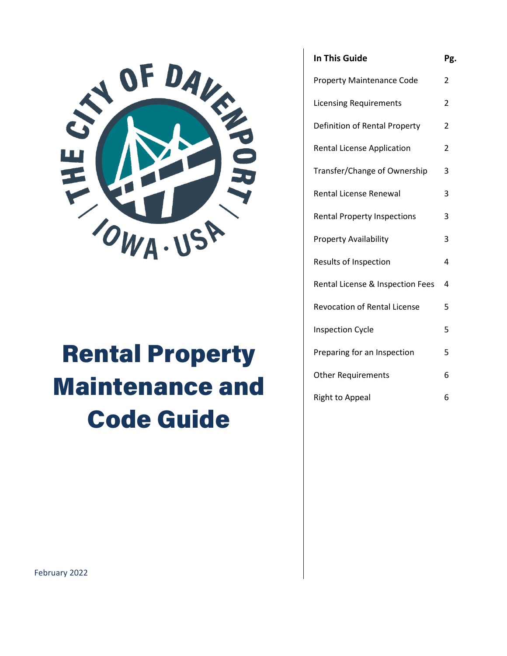

# Rental Property Maintenance and Code Guide

| <b>In This Guide</b>               | Pg. |
|------------------------------------|-----|
| <b>Property Maintenance Code</b>   | 2   |
| <b>Licensing Requirements</b>      | 2   |
| Definition of Rental Property      | 2   |
| <b>Rental License Application</b>  | 2   |
| Transfer/Change of Ownership       | 3   |
| Rental License Renewal             | 3   |
| <b>Rental Property Inspections</b> | 3   |
| <b>Property Availability</b>       | 3   |
| Results of Inspection              | 4   |
| Rental License & Inspection Fees   | 4   |
| Revocation of Rental License       | 5   |
| <b>Inspection Cycle</b>            | 5   |
| Preparing for an Inspection        | 5   |
| <b>Other Requirements</b>          | 6   |
| <b>Right to Appeal</b>             | 6   |

February 2022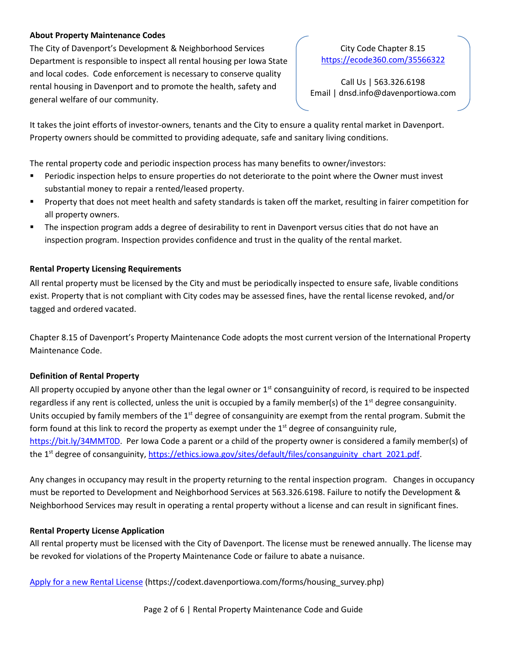### **About Property Maintenance Codes**

The City of Davenport's Development & Neighborhood Services Department is responsible to inspect all rental housing per Iowa State and local codes. Code enforcement is necessary to conserve quality rental housing in Davenport and to promote the health, safety and general welfare of our community.

City Code Chapter 8.15 <https://ecode360.com/35566322>

Call Us | 563.326.6198 Email | dnsd.info@davenportiowa.com

It takes the joint efforts of investor-owners, tenants and the City to ensure a quality rental market in Davenport. Property owners should be committed to providing adequate, safe and sanitary living conditions.

The rental property code and periodic inspection process has many benefits to owner/investors:

- Periodic inspection helps to ensure properties do not deteriorate to the point where the Owner must invest substantial money to repair a rented/leased property.
- **Property that does not meet health and safety standards is taken off the market, resulting in fairer competition for** all property owners.
- The inspection program adds a degree of desirability to rent in Davenport versus cities that do not have an inspection program. Inspection provides confidence and trust in the quality of the rental market.

# **Rental Property Licensing Requirements**

All rental property must be licensed by the City and must be periodically inspected to ensure safe, livable conditions exist. Property that is not compliant with City codes may be assessed fines, have the rental license revoked, and/or tagged and ordered vacated.

Chapter 8.15 of Davenport's Property Maintenance Code adopts the most current version of the International Property Maintenance Code.

# **Definition of Rental Property**

All property occupied by anyone other than the legal owner or  $1<sup>st</sup>$  consanguinity of record, is required to be inspected regardless if any rent is collected, unless the unit is occupied by a family member(s) of the  $1<sup>st</sup>$  degree consanguinity. Units occupied by family members of the  $1<sup>st</sup>$  degree of consanguinity are exempt from the rental program. Submit the form found at this link to record the property as exempt under the  $1<sup>st</sup>$  degree of consanguinity rule, [https://bit.ly/34MMT0D.](https://bit.ly/34MMT0D) Per Iowa Code a parent or a child of the property owner is considered a family member(s) of the 1<sup>st</sup> degree of consanguinity, [https://ethics.iowa.gov/sites/default/files/consanguinity\\_chart\\_2021.pdf.](https://ethics.iowa.gov/sites/default/files/consanguinity_chart_2021.pdf)

Any changes in occupancy may result in the property returning to the rental inspection program. Changes in occupancy must be reported to Development and Neighborhood Services at 563.326.6198. Failure to notify the Development & Neighborhood Services may result in operating a rental property without a license and can result in significant fines.

# **Rental Property License Application**

All rental property must be licensed with the City of Davenport. The license must be renewed annually. The license may be revoked for violations of the Property Maintenance Code or failure to abate a nuisance.

[Apply for a new Rental License](https://codext.davenportiowa.com/forms/housing_survey.php) (https://codext.davenportiowa.com/forms/housing\_survey.php)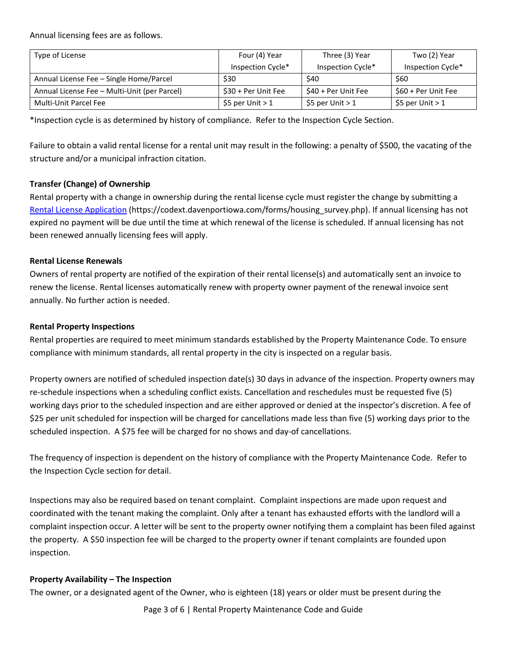Annual licensing fees are as follows.

| Type of License                              | Four (4) Year        | Three (3) Year      | Two (2) Year        |
|----------------------------------------------|----------------------|---------------------|---------------------|
|                                              | Inspection Cycle*    | Inspection Cycle*   | Inspection Cycle*   |
| Annual License Fee - Single Home/Parcel      | \$30                 | \$40                | \$60                |
| Annual License Fee - Multi-Unit (per Parcel) | $$30 + Per$ Unit Fee | \$40 + Per Unit Fee | \$60 + Per Unit Fee |
| Multi-Unit Parcel Fee                        | \$5 per Unit $>1$    | \$5 per Unit $>1$   | \$5 per Unit $>1$   |

\*Inspection cycle is as determined by history of compliance. Refer to the Inspection Cycle Section.

Failure to obtain a valid rental license for a rental unit may result in the following: a penalty of \$500, the vacating of the structure and/or a municipal infraction citation.

# **Transfer (Change) of Ownership**

Rental property with a change in ownership during the rental license cycle must register the change by submitting a Rental License Application (https://codext.davenportiowa.com/forms/housing\_survey.php). If annual licensing has not expired no payment will be due until the time at which renewal of the license is scheduled. If annual licensing has not been renewed annually licensing fees will apply.

#### **Rental License Renewals**

Owners of rental property are notified of the expiration of their rental license(s) and automatically sent an invoice to renew the license. Rental licenses automatically renew with property owner payment of the renewal invoice sent annually. No further action is needed.

#### **Rental Property Inspections**

Rental properties are required to meet minimum standards established by the Property Maintenance Code. To ensure compliance with minimum standards, all rental property in the city is inspected on a regular basis.

Property owners are notified of scheduled inspection date(s) 30 days in advance of the inspection. Property owners may re-schedule inspections when a scheduling conflict exists. Cancellation and reschedules must be requested five (5) working days prior to the scheduled inspection and are either approved or denied at the inspector's discretion. A fee of \$25 per unit scheduled for inspection will be charged for cancellations made less than five (5) working days prior to the scheduled inspection. A \$75 fee will be charged for no shows and day-of cancellations.

The frequency of inspection is dependent on the history of compliance with the Property Maintenance Code. Refer to the Inspection Cycle section for detail.

Inspections may also be required based on tenant complaint. Complaint inspections are made upon request and coordinated with the tenant making the complaint. Only after a tenant has exhausted efforts with the landlord will a complaint inspection occur. A letter will be sent to the property owner notifying them a complaint has been filed against the property. A \$50 inspection fee will be charged to the property owner if tenant complaints are founded upon inspection.

#### **Property Availability – The Inspection**

The owner, or a designated agent of the Owner, who is eighteen (18) years or older must be present during the

Page 3 of 6 | Rental Property Maintenance Code and Guide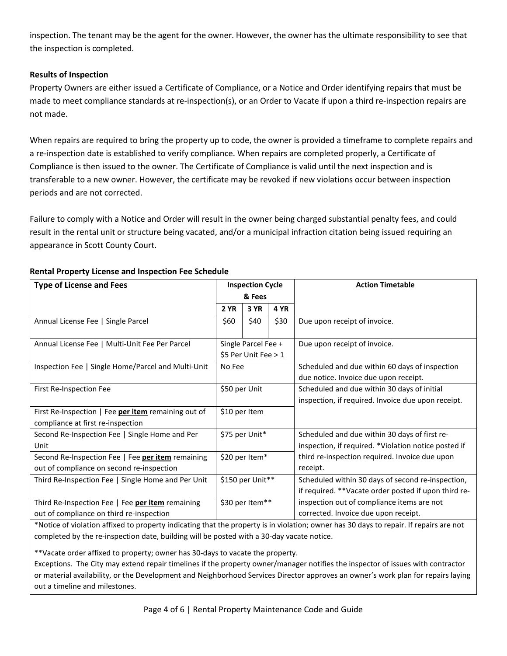inspection. The tenant may be the agent for the owner. However, the owner has the ultimate responsibility to see that the inspection is completed.

## **Results of Inspection**

Property Owners are either issued a Certificate of Compliance, or a Notice and Order identifying repairs that must be made to meet compliance standards at re-inspection(s), or an Order to Vacate if upon a third re-inspection repairs are not made.

When repairs are required to bring the property up to code, the owner is provided a timeframe to complete repairs and a re-inspection date is established to verify compliance. When repairs are completed properly, a Certificate of Compliance is then issued to the owner. The Certificate of Compliance is valid until the next inspection and is transferable to a new owner. However, the certificate may be revoked if new violations occur between inspection periods and are not corrected.

Failure to comply with a Notice and Order will result in the owner being charged substantial penalty fees, and could result in the rental unit or structure being vacated, and/or a municipal infraction citation being issued requiring an appearance in Scott County Court.

| <b>Type of License and Fees</b>                                                          | <b>Inspection Cycle</b>                       |      |             | <b>Action Timetable</b>                                                                           |
|------------------------------------------------------------------------------------------|-----------------------------------------------|------|-------------|---------------------------------------------------------------------------------------------------|
|                                                                                          | & Fees                                        |      |             |                                                                                                   |
|                                                                                          | <b>2 YR</b>                                   | 3 YR | <b>4 YR</b> |                                                                                                   |
| Annual License Fee   Single Parcel                                                       | \$60                                          | \$40 | \$30        | Due upon receipt of invoice.                                                                      |
| Annual License Fee   Multi-Unit Fee Per Parcel                                           | Single Parcel Fee +<br>\$5 Per Unit Fee $> 1$ |      |             | Due upon receipt of invoice.                                                                      |
| Inspection Fee   Single Home/Parcel and Multi-Unit                                       | No Fee                                        |      |             | Scheduled and due within 60 days of inspection<br>due notice. Invoice due upon receipt.           |
| First Re-Inspection Fee                                                                  | \$50 per Unit                                 |      |             | Scheduled and due within 30 days of initial<br>inspection, if required. Invoice due upon receipt. |
| First Re-Inspection   Fee per item remaining out of<br>compliance at first re-inspection | \$10 per Item                                 |      |             |                                                                                                   |
| Second Re-Inspection Fee   Single Home and Per                                           | \$75 per Unit*                                |      |             | Scheduled and due within 30 days of first re-                                                     |
| Unit                                                                                     |                                               |      |             | inspection, if required. *Violation notice posted if                                              |
| Second Re-Inspection Fee   Fee per item remaining                                        | \$20 per Item*                                |      |             | third re-inspection required. Invoice due upon                                                    |
| out of compliance on second re-inspection                                                |                                               |      |             | receipt.                                                                                          |
| Third Re-Inspection Fee   Single Home and Per Unit                                       | \$150 per Unit**                              |      |             | Scheduled within 30 days of second re-inspection,                                                 |
|                                                                                          |                                               |      |             | if required. **Vacate order posted if upon third re-                                              |
| Third Re-Inspection Fee   Fee per item remaining                                         | \$30 per Item**                               |      |             | inspection out of compliance items are not                                                        |
| out of compliance on third re-inspection                                                 |                                               |      |             | corrected. Invoice due upon receipt.                                                              |

# **Rental Property License and Inspection Fee Schedule**

\*Notice of violation affixed to property indicating that the property is in violation; owner has 30 days to repair. If repairs are not completed by the re-inspection date, building will be posted with a 30-day vacate notice.

\*\*Vacate order affixed to property; owner has 30-days to vacate the property.

Exceptions. The City may extend repair timelines if the property owner/manager notifies the inspector of issues with contractor or material availability, or the Development and Neighborhood Services Director approves an owner's work plan for repairs laying out a timeline and milestones.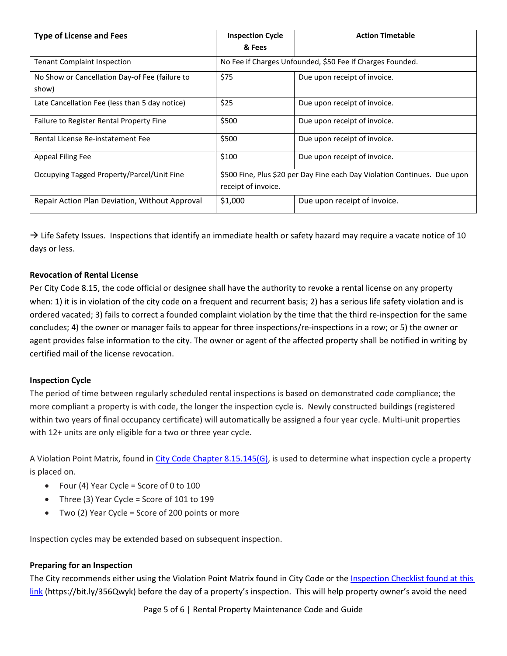| <b>Type of License and Fees</b>                         | <b>Inspection Cycle</b><br>& Fees                                                                | <b>Action Timetable</b>      |  |
|---------------------------------------------------------|--------------------------------------------------------------------------------------------------|------------------------------|--|
| <b>Tenant Complaint Inspection</b>                      | No Fee if Charges Unfounded, \$50 Fee if Charges Founded.                                        |                              |  |
| No Show or Cancellation Day-of Fee (failure to<br>show) | \$75                                                                                             | Due upon receipt of invoice. |  |
| Late Cancellation Fee (less than 5 day notice)          | \$25                                                                                             | Due upon receipt of invoice. |  |
| Failure to Register Rental Property Fine                | \$500                                                                                            | Due upon receipt of invoice. |  |
| Rental License Re-instatement Fee                       | \$500                                                                                            | Due upon receipt of invoice. |  |
| Appeal Filing Fee                                       | \$100                                                                                            | Due upon receipt of invoice. |  |
| Occupying Tagged Property/Parcel/Unit Fine              | \$500 Fine, Plus \$20 per Day Fine each Day Violation Continues. Due upon<br>receipt of invoice. |                              |  |
| Repair Action Plan Deviation, Without Approval          | \$1,000                                                                                          | Due upon receipt of invoice. |  |

 $\rightarrow$  Life Safety Issues. Inspections that identify an immediate health or safety hazard may require a vacate notice of 10 days or less.

# **Revocation of Rental License**

Per City Code 8.15, the code official or designee shall have the authority to revoke a rental license on any property when: 1) it is in violation of the city code on a frequent and recurrent basis; 2) has a serious life safety violation and is ordered vacated; 3) fails to correct a founded complaint violation by the time that the third re-inspection for the same concludes; 4) the owner or manager fails to appear for three inspections/re-inspections in a row; or 5) the owner or agent provides false information to the city. The owner or agent of the affected property shall be notified in writing by certified mail of the license revocation.

#### **Inspection Cycle**

The period of time between regularly scheduled rental inspections is based on demonstrated code compliance; the more compliant a property is with code, the longer the inspection cycle is. Newly constructed buildings (registered within two years of final occupancy certificate) will automatically be assigned a four year cycle. Multi-unit properties with 12+ units are only eligible for a two or three year cycle.

A Violation Point Matrix, found in [City Code Chapter 8.15.145\(G\),](https://ecode360.com/35566322) is used to determine what inspection cycle a property is placed on.

- Four (4) Year Cycle = Score of 0 to 100
- Three (3) Year Cycle = Score of 101 to 199
- Two (2) Year Cycle = Score of 200 points or more

Inspection cycles may be extended based on subsequent inspection.

#### **Preparing for an Inspection**

The City recommends either using the Violation Point Matrix found in City Code or the Inspection Checklist found at this [link](https://davenportiowa.com/common/pages/DisplayFile.aspx?itemId=18350187) (https://bit.ly/356Qwyk) before the day of a property's inspection. This will help property owner's avoid the need

Page 5 of 6 | Rental Property Maintenance Code and Guide